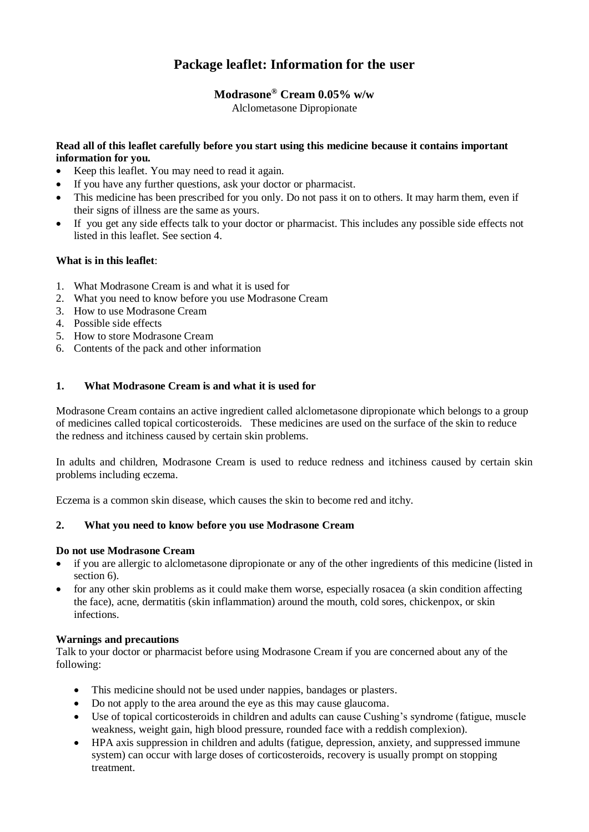# **Package leaflet: Information for the user**

## **Modrasone® Cream 0.05% w/w**

Alclometasone Dipropionate

## **Read all of this leaflet carefully before you start using this medicine because it contains important information for you.**

- Keep this leaflet. You may need to read it again.
- If you have any further questions, ask your doctor or pharmacist.
- This medicine has been prescribed for you only. Do not pass it on to others. It may harm them, even if their signs of illness are the same as yours.
- If you get any side effects talk to your doctor or pharmacist. This includes any possible side effects not listed in this leaflet. See section 4.

## **What is in this leaflet**:

- 1. What Modrasone Cream is and what it is used for
- 2. What you need to know before you use Modrasone Cream
- 3. How to use Modrasone Cream
- 4. Possible side effects
- 5. How to store Modrasone Cream
- 6. Contents of the pack and other information

## **1. What Modrasone Cream is and what it is used for**

Modrasone Cream contains an active ingredient called alclometasone dipropionate which belongs to a group of medicines called topical corticosteroids. These medicines are used on the surface of the skin to reduce the redness and itchiness caused by certain skin problems.

In adults and children, Modrasone Cream is used to reduce redness and itchiness caused by certain skin problems including eczema.

Eczema is a common skin disease, which causes the skin to become red and itchy.

## **2. What you need to know before you use Modrasone Cream**

#### **Do not use Modrasone Cream**

- if you are allergic to alclometasone dipropionate or any of the other ingredients of this medicine (listed in section 6).
- for any other skin problems as it could make them worse, especially rosacea (a skin condition affecting the face), acne, dermatitis (skin inflammation) around the mouth, cold sores, chickenpox, or skin infections.

#### **Warnings and precautions**

Talk to your doctor or pharmacist before using Modrasone Cream if you are concerned about any of the following:

- This medicine should not be used under nappies, bandages or plasters.
- Do not apply to the area around the eye as this may cause glaucoma.
- Use of topical corticosteroids in children and adults can cause Cushing's syndrome (fatigue, muscle weakness, weight gain, high blood pressure, rounded face with a reddish complexion).
- HPA axis suppression in children and adults (fatigue, depression, anxiety, and suppressed immune system) can occur with large doses of corticosteroids, recovery is usually prompt on stopping treatment.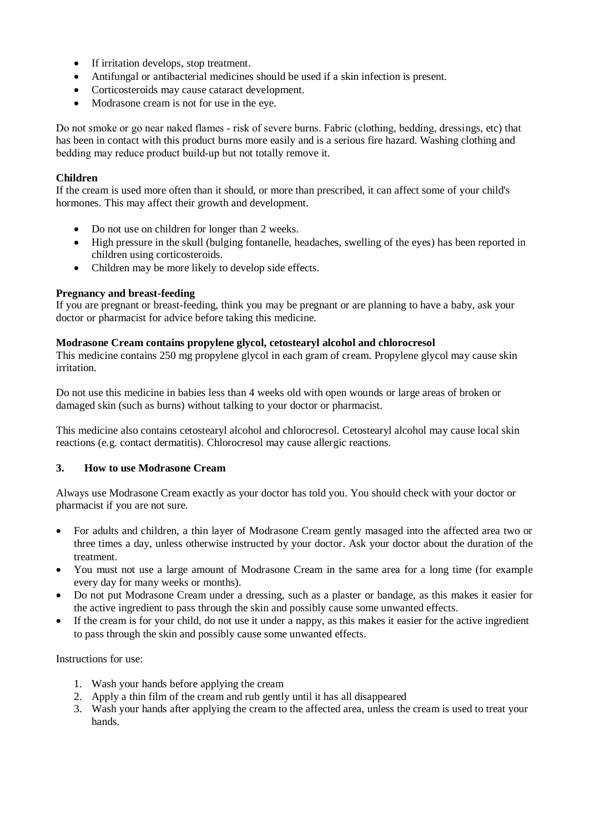- If irritation develops, stop treatment.
- Antifungal or antibacterial medicines should be used if a skin infection is present.
- Corticosteroids may cause cataract development.
- Modrasone cream is not for use in the eye.

Do not smoke or go near naked flames ‐ risk of severe burns. Fabric (clothing, bedding, dressings, etc) that has been in contact with this product burns more easily and is a serious fire hazard. Washing clothing and bedding may reduce product build‐up but not totally remove it.

## **Children**

If the cream is used more often than it should, or more than prescribed, it can affect some of your child's hormones. This may affect their growth and development.

- Do not use on children for longer than 2 weeks.
- High pressure in the skull (bulging fontanelle, headaches, swelling of the eyes) has been reported in children using corticosteroids.
- Children may be more likely to develop side effects.

## **Pregnancy and breast-feeding**

If you are pregnant or breast-feeding, think you may be pregnant or are planning to have a baby, ask your doctor or pharmacist for advice before taking this medicine.

#### **Modrasone Cream contains propylene glycol, cetostearyl alcohol and chlorocresol**

This medicine contains 250 mg propylene glycol in each gram of cream. Propylene glycol may cause skin irritation.

Do not use this medicine in babies less than 4 weeks old with open wounds or large areas of broken or damaged skin (such as burns) without talking to your doctor or pharmacist.

This medicine also contains cetostearyl alcohol and chlorocresol. Cetostearyl alcohol may cause local skin reactions (e.g. contact dermatitis). Chlorocresol may cause allergic reactions.

#### **3. How to use Modrasone Cream**

Always use Modrasone Cream exactly as your doctor has told you. You should check with your doctor or pharmacist if you are not sure.

- For adults and children, a thin layer of Modrasone Cream gently masaged into the affected area two or three times a day, unless otherwise instructed by your doctor. Ask your doctor about the duration of the treatment.
- You must not use a large amount of Modrasone Cream in the same area for a long time (for example every day for many weeks or months).
- Do not put Modrasone Cream under a dressing, such as a plaster or bandage, as this makes it easier for the active ingredient to pass through the skin and possibly cause some unwanted effects.
- If the cream is for your child, do not use it under a nappy, as this makes it easier for the active ingredient to pass through the skin and possibly cause some unwanted effects.

Instructions for use:

- 1. Wash your hands before applying the cream
- 2. Apply a thin film of the cream and rub gently until it has all disappeared
- 3. Wash your hands after applying the cream to the affected area, unless the cream is used to treat your hands.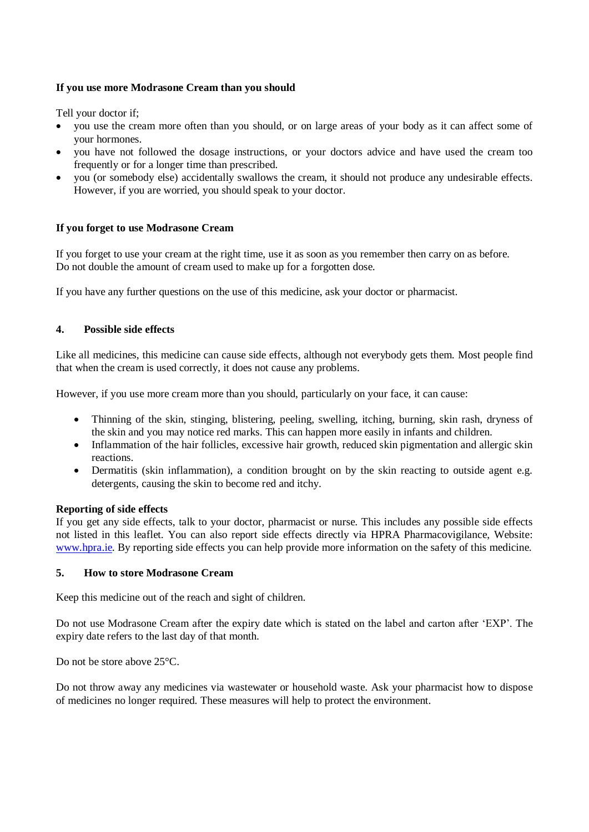## **If you use more Modrasone Cream than you should**

Tell your doctor if;

- you use the cream more often than you should, or on large areas of your body as it can affect some of your hormones.
- you have not followed the dosage instructions, or your doctors advice and have used the cream too frequently or for a longer time than prescribed.
- you (or somebody else) accidentally swallows the cream, it should not produce any undesirable effects. However, if you are worried, you should speak to your doctor.

## **If you forget to use Modrasone Cream**

If you forget to use your cream at the right time, use it as soon as you remember then carry on as before. Do not double the amount of cream used to make up for a forgotten dose.

If you have any further questions on the use of this medicine, ask your doctor or pharmacist.

## **4. Possible side effects**

Like all medicines, this medicine can cause side effects, although not everybody gets them. Most people find that when the cream is used correctly, it does not cause any problems.

However, if you use more cream more than you should, particularly on your face, it can cause:

- Thinning of the skin, stinging, blistering, peeling, swelling, itching, burning, skin rash, dryness of the skin and you may notice red marks. This can happen more easily in infants and children.
- Inflammation of the hair follicles, excessive hair growth, reduced skin pigmentation and allergic skin reactions.
- Dermatitis (skin inflammation), a condition brought on by the skin reacting to outside agent e.g. detergents, causing the skin to become red and itchy.

#### **Reporting of side effects**

If you get any side effects, talk to your doctor, pharmacist or nurse. This includes any possible side effects not listed in this leaflet. You can also report side effects directly via HPRA Pharmacovigilance, Website: [www.hpra.ie.](http://www.hpra.ie/) By reporting side effects you can help provide more information on the safety of this medicine.

#### **5. How to store Modrasone Cream**

Keep this medicine out of the reach and sight of children.

Do not use Modrasone Cream after the expiry date which is stated on the label and carton after 'EXP'. The expiry date refers to the last day of that month.

Do not be store above 25°C.

Do not throw away any medicines via wastewater or household waste. Ask your pharmacist how to dispose of medicines no longer required. These measures will help to protect the environment.